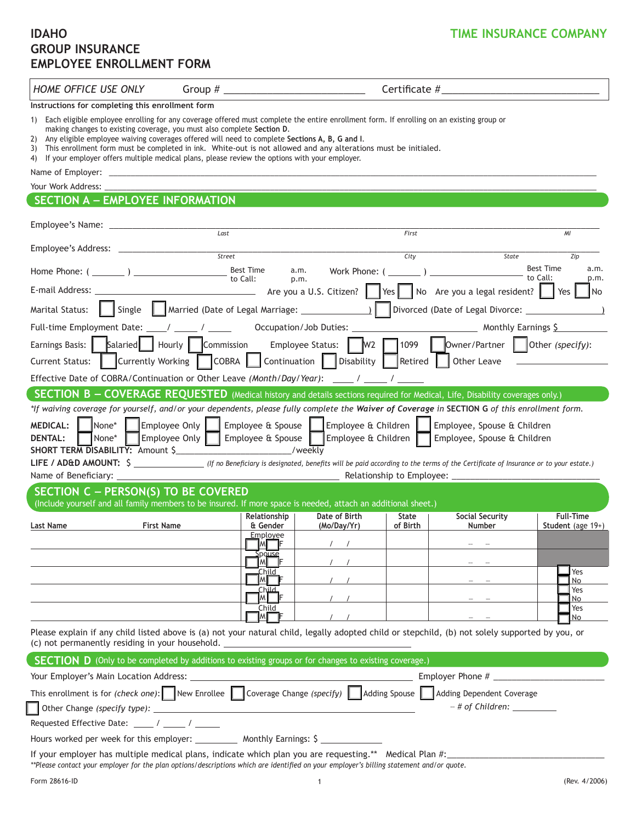# **GROUP INSURANCE EMPLOYEE ENROLLMENT FORM**

*HOME OFFICE USE ONLY* Group # \_\_\_\_\_\_\_\_\_\_\_\_\_\_\_\_\_\_\_\_\_\_\_\_\_\_ Certificate #\_\_\_\_\_\_\_\_\_\_\_\_\_\_\_\_\_\_\_\_\_\_\_\_\_\_\_\_\_

**Instructions for completing this enrollment form**

- 1) Each eligible employee enrolling for any coverage offered must complete the entire enrollment form. If enrolling on an existing group or making changes to existing coverage, you must also complete **Section D**.
- 2) Any eligible employee waiving coverages offered will need to complete **Sections A, B, G and I**.
- 3) This enrollment form must be completed in ink. White-out is not allowed and any alterations must be initialed.
- 4) If your employer offers multiple medical plans, please review the options with your employer.

Name of Employer: \_

#### Your Work Address:

## **SECTION A –– Employee Information**

| Employee's Name:                                                                                                                                                                                                                                                                                                                                                                                                                                                                                                                                 | Last                                                                                                                                            |                                     | First                    |                                                                                                                        | MI                                           |  |  |  |  |  |
|--------------------------------------------------------------------------------------------------------------------------------------------------------------------------------------------------------------------------------------------------------------------------------------------------------------------------------------------------------------------------------------------------------------------------------------------------------------------------------------------------------------------------------------------------|-------------------------------------------------------------------------------------------------------------------------------------------------|-------------------------------------|--------------------------|------------------------------------------------------------------------------------------------------------------------|----------------------------------------------|--|--|--|--|--|
|                                                                                                                                                                                                                                                                                                                                                                                                                                                                                                                                                  |                                                                                                                                                 |                                     |                          |                                                                                                                        |                                              |  |  |  |  |  |
| Employee's Address:                                                                                                                                                                                                                                                                                                                                                                                                                                                                                                                              | Street                                                                                                                                          |                                     | City                     | State                                                                                                                  | Zip                                          |  |  |  |  |  |
| Home Phone: $(\_\_ \_ )$                                                                                                                                                                                                                                                                                                                                                                                                                                                                                                                         | <b>Best Time</b><br>to Call:                                                                                                                    | Work Phone: (<br>a.m.<br>p.m.       |                          |                                                                                                                        | <b>Best Time</b><br>a.m.<br>to Call:<br>p.m. |  |  |  |  |  |
|                                                                                                                                                                                                                                                                                                                                                                                                                                                                                                                                                  |                                                                                                                                                 |                                     |                          | No Are you a legal resident?                                                                                           | <b>No</b><br>Yes                             |  |  |  |  |  |
| Single<br>Divorced (Date of Legal Divorce: ____<br>Marital Status:                                                                                                                                                                                                                                                                                                                                                                                                                                                                               |                                                                                                                                                 |                                     |                          |                                                                                                                        |                                              |  |  |  |  |  |
|                                                                                                                                                                                                                                                                                                                                                                                                                                                                                                                                                  |                                                                                                                                                 |                                     |                          |                                                                                                                        |                                              |  |  |  |  |  |
| Earnings Basis:<br><b>Current Status:</b>                                                                                                                                                                                                                                                                                                                                                                                                                                                                                                        | Salaried   Hourly   Commission<br>Currently Working   COBRA                                                                                     | Continuation   Disability   Retired |                          | Employee Status: $\parallel$ M2 $\parallel$ 1099 $\parallel$ Owner/Partner $\parallel$ Other (specify):<br>Other Leave |                                              |  |  |  |  |  |
|                                                                                                                                                                                                                                                                                                                                                                                                                                                                                                                                                  | Effective Date of COBRA/Continuation or Other Leave (Month/Day/Year): _____ / _____ / _____                                                     |                                     |                          |                                                                                                                        |                                              |  |  |  |  |  |
|                                                                                                                                                                                                                                                                                                                                                                                                                                                                                                                                                  | <b>SECTION B - COVERAGE REQUESTED</b> (Medical history and details sections required for Medical, Life, Disability coverages only.)             |                                     |                          |                                                                                                                        |                                              |  |  |  |  |  |
| Employee Only  <br>$None*$<br>Employee & Spouse $\parallel$ Employee & Children<br><b>MEDICAL:</b><br>Employee, Spouse & Children<br>None*<br>Employee Only<br>Employee $\alpha$ Spouse<br>Employee & Children<br><b>DENTAL:</b><br>Employee, Spouse & Children<br>SHORT TERM DISABILITY: Amount \$<br>/weekly<br>LIFE / AD&D AMOUNT: \$ ________________(If no Beneficiary is designated, benefits will be paid according to the terms of the Certificate of Insurance or to your estate.)<br>Name of Beneficiary:<br>Relationship to Employee: |                                                                                                                                                 |                                     |                          |                                                                                                                        |                                              |  |  |  |  |  |
| SECTION C - PERSON(S) TO BE COVERED                                                                                                                                                                                                                                                                                                                                                                                                                                                                                                              | (Include yourself and all family members to be insured. If more space is needed, attach an additional sheet.)                                   |                                     |                          |                                                                                                                        |                                              |  |  |  |  |  |
| Last Name                                                                                                                                                                                                                                                                                                                                                                                                                                                                                                                                        | Relationship<br><b>First Name</b><br>& Gender                                                                                                   | Date of Birth<br>(Mo/Day/Yr)        | <b>State</b><br>of Birth | Social Security<br>Number                                                                                              | <b>Full-Time</b><br>Student (age 19+)        |  |  |  |  |  |
|                                                                                                                                                                                                                                                                                                                                                                                                                                                                                                                                                  | Employee<br>MI F                                                                                                                                |                                     |                          |                                                                                                                        |                                              |  |  |  |  |  |
|                                                                                                                                                                                                                                                                                                                                                                                                                                                                                                                                                  | pouse<br>M                                                                                                                                      |                                     |                          |                                                                                                                        |                                              |  |  |  |  |  |
|                                                                                                                                                                                                                                                                                                                                                                                                                                                                                                                                                  | Child<br>ιMμ                                                                                                                                    |                                     |                          |                                                                                                                        | Yes<br>No                                    |  |  |  |  |  |
|                                                                                                                                                                                                                                                                                                                                                                                                                                                                                                                                                  | Child<br>мI                                                                                                                                     |                                     |                          |                                                                                                                        | Yes<br>No                                    |  |  |  |  |  |
|                                                                                                                                                                                                                                                                                                                                                                                                                                                                                                                                                  | Child                                                                                                                                           |                                     |                          |                                                                                                                        | Yes<br><b>No</b>                             |  |  |  |  |  |
| (c) not permanently residing in your household.                                                                                                                                                                                                                                                                                                                                                                                                                                                                                                  | Please explain if any child listed above is (a) not your natural child, legally adopted child or stepchild, (b) not solely supported by you, or |                                     |                          |                                                                                                                        |                                              |  |  |  |  |  |

| <b>SECTION D</b> (Only to be completed by additions to existing groups or for changes to existing coverage.)                     |                  |  |  |  |  |  |
|----------------------------------------------------------------------------------------------------------------------------------|------------------|--|--|--|--|--|
| Employer Phone $#$                                                                                                               |                  |  |  |  |  |  |
| This enrollment is for (check one): New Enrollee Coverage Change (specify) $\Box$ Adding Spouse $\Box$ Adding Dependent Coverage |                  |  |  |  |  |  |
|                                                                                                                                  | - # of Children: |  |  |  |  |  |
| Requested Effective Date: _____ / _____ / _____                                                                                  |                  |  |  |  |  |  |
| Hours worked per week for this employer: ___________ Monthly Earnings: \$                                                        |                  |  |  |  |  |  |
| If your employer has multiple medical plans, indicate which plan you are requesting.** Medical Plan #:_                          |                  |  |  |  |  |  |

*\*\*Please contact your employer for the plan options/descriptions which are identified on your employer's billing statement and/or quote.*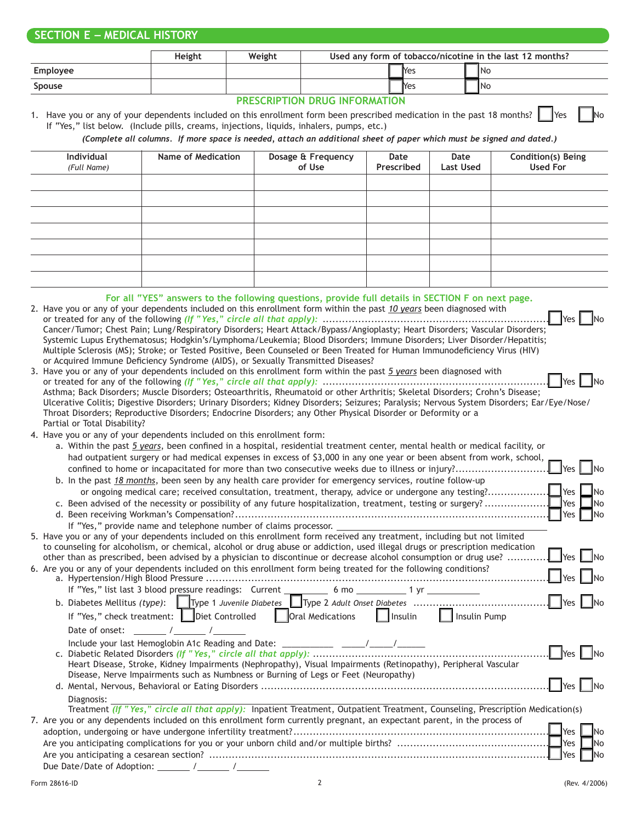## **SECTION E –– Medical history**

|                                           | <b>Height</b> | Weight | Used any form of tobacco/nicotine in the last 12 months? |  |              |  |           |
|-------------------------------------------|---------------|--------|----------------------------------------------------------|--|--------------|--|-----------|
| Employee                                  |               |        |                                                          |  | <b>Nes</b>   |  | <b>No</b> |
| <b>Spouse</b>                             |               |        |                                                          |  | <b>I</b> Yes |  | 1No       |
| <b>BREACHINE(A)I BRITA ILIEABILIEIA)I</b> |               |        |                                                          |  |              |  |           |

#### **Prescription Drug Information**

1. Have you or any of your dependents included on this enrollment form been prescribed medication in the past 18 months? Yes No If "Yes," list below. (Include pills, creams, injections, liquids, inhalers, pumps, etc.)

*(Complete all columns. If more space is needed, attach an additional sheet of paper which must be signed and dated.)*

| Individual<br>(Full Name) | Name of Medication                                                                               | Dosage & Frequency<br>of Use | Date<br>Prescribed | Date<br>Last Used | Condition(s) Being<br>Used For |
|---------------------------|--------------------------------------------------------------------------------------------------|------------------------------|--------------------|-------------------|--------------------------------|
|                           |                                                                                                  |                              |                    |                   |                                |
|                           |                                                                                                  |                              |                    |                   |                                |
|                           |                                                                                                  |                              |                    |                   |                                |
|                           |                                                                                                  |                              |                    |                   |                                |
|                           |                                                                                                  |                              |                    |                   |                                |
|                           |                                                                                                  |                              |                    |                   |                                |
|                           |                                                                                                  |                              |                    |                   |                                |
|                           | For all "YES" answers to the following questions, provide full details in SECTION E on next page |                              |                    |                   |                                |

| TUI AILITEJ - ANSWEIS LU LIIE TUILUWING QUESLIUNS, DIUVIUE TUIL UELAIS NI SECTIUN TIUN TUITIEAL DAGE.                       |                      |
|-----------------------------------------------------------------------------------------------------------------------------|----------------------|
| 2. Have you or any of your dependents included on this enrollment form within the past 10 years been diagnosed with         |                      |
|                                                                                                                             |                      |
| Cancer/Tumor; Chest Pain; Lung/Respiratory Disorders; Heart Attack/Bypass/Angioplasty; Heart Disorders; Vascular Disorders; |                      |
| Systemic Lupus Erythematosus; Hodgkin's/Lymphoma/Leukemia; Blood Disorders; Immune Disorders; Liver Disorder/Hepatitis;     |                      |
| Multiple Sclerosis (MS); Stroke; or Tested Positive, Been Counseled or Been Treated for Human Immunodeficiency Virus (HIV)  |                      |
| or Acquired Immune Deficiency Syndrome (AIDS), or Sexually Transmitted Diseases?                                            |                      |
| 3. Have you or any of your dependents included on this enrollment form within the past 5 years been diagnosed with          |                      |
| or trooted for any of the following <i>If "Yes</i> " simple all that annly).                                                | $\Box$ voc $\Box$ no |

| Asthma; Back Disorders; Muscle Disorders; Osteoarthritis, Rheumatoid or other Arthritis; Skeletal Disorders; Crohn's Disease;              |  |
|--------------------------------------------------------------------------------------------------------------------------------------------|--|
| Ulcerative Colitis; Digestive Disorders; Urinary Disorders; Kidney Disorders; Seizures; Paralysis; Nervous System Disorders; Ear/Eye/Nose/ |  |
| Throat Disorders; Reproductive Disorders; Endocrine Disorders; any Other Physical Disorder or Deformity or a                               |  |
| Partial or Total Disability?                                                                                                               |  |
|                                                                                                                                            |  |

4. Have you or any of your dependents included on this enrollment form:

|  | a. Within the past 5 years, been confined in a hospital, residential treatment center, mental health or medical facility, or                                                                                                                                    |
|--|-----------------------------------------------------------------------------------------------------------------------------------------------------------------------------------------------------------------------------------------------------------------|
|  | had outpatient surgery or had medical expenses in excess of \$3,000 in any one year or been absent from work, school,<br><b>No</b><br><b>I</b> Yes                                                                                                              |
|  | b. In the past 18 months, been seen by any health care provider for emergency services, routine follow-up                                                                                                                                                       |
|  |                                                                                                                                                                                                                                                                 |
|  | $\blacksquare$ No                                                                                                                                                                                                                                               |
|  | Yes  <br>- INo                                                                                                                                                                                                                                                  |
|  | If "Yes," provide name and telephone number of claims processor.                                                                                                                                                                                                |
|  | 5. Have you or any of your dependents included on this enrollment form received any treatment, including but not limited                                                                                                                                        |
|  | to counseling for alcoholism, or chemical, alcohol or drug abuse or addiction, used illegal drugs or prescription medication<br>$\Box$ Yes<br>other than as prescribed, been advised by a physician to discontinue or decrease alcohol consumption or drug use? |
|  | 6. Are you or any of your dependents included on this enrollment form being treated for the following conditions?<br>$\Box$ Yes                                                                                                                                 |
|  |                                                                                                                                                                                                                                                                 |
|  | $\Box$ Yes $\Box$ No                                                                                                                                                                                                                                            |
|  | If "Yes," check treatment: Diet Controlled   Oral Medications   Insulin   Insulin Pump                                                                                                                                                                          |
|  | Date of onset:<br>$\sqrt{2}$                                                                                                                                                                                                                                    |
|  |                                                                                                                                                                                                                                                                 |
|  | $\Box$ Yes $\Box$ No                                                                                                                                                                                                                                            |
|  | Heart Disease, Stroke, Kidney Impairments (Nephropathy), Visual Impairments (Retinopathy), Peripheral Vascular<br>Disease, Nerve Impairments such as Numbness or Burning of Legs or Feet (Neuropathy)                                                           |
|  | $ $ Yes<br>- INo                                                                                                                                                                                                                                                |
|  | Diagnosis:                                                                                                                                                                                                                                                      |
|  | Treatment (If "Yes," circle all that apply): Inpatient Treatment, Outpatient Treatment, Counseling, Prescription Medication(s)                                                                                                                                  |
|  | 7. Are you or any dependents included on this enrollment form currently pregnant, an expectant parent, in the process of                                                                                                                                        |
|  | <b>No</b>                                                                                                                                                                                                                                                       |
|  | Yes  <br><b>INo</b>                                                                                                                                                                                                                                             |
|  | Yes<br><b>INo</b>                                                                                                                                                                                                                                               |

Due Date/Date of Adoption: \_\_\_\_\_\_\_ / \_\_\_\_\_ / \_\_\_\_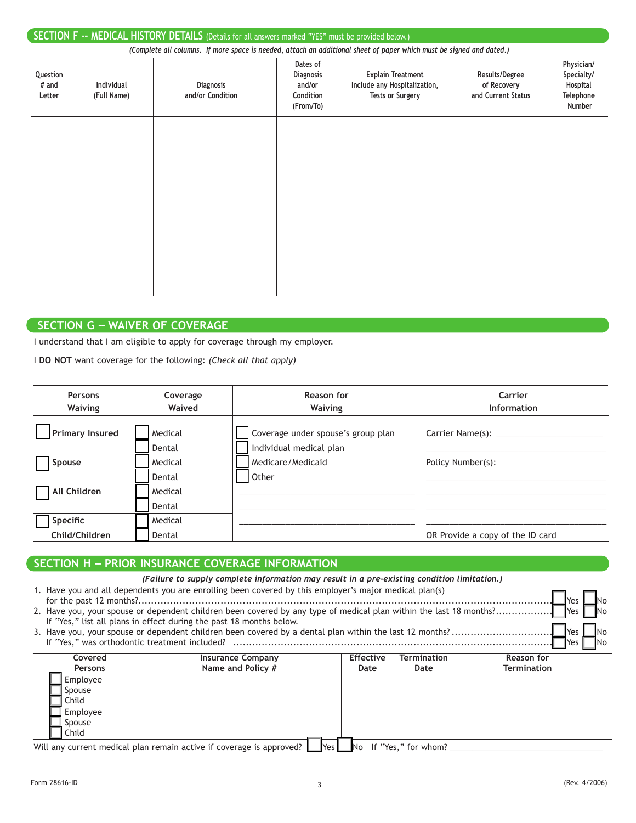| SECTION F -- MEDICAL HISTORY DETAILS (Details for all answers marked "YES" must be provided below.) |                                                                                                                      |                                      |                                                                  |                                                                                     |                                                     |                                                             |  |  |
|-----------------------------------------------------------------------------------------------------|----------------------------------------------------------------------------------------------------------------------|--------------------------------------|------------------------------------------------------------------|-------------------------------------------------------------------------------------|-----------------------------------------------------|-------------------------------------------------------------|--|--|
|                                                                                                     | (Complete all columns. If more space is needed, attach an additional sheet of paper which must be signed and dated.) |                                      |                                                                  |                                                                                     |                                                     |                                                             |  |  |
| Question<br># and<br>Letter                                                                         | <b>Individual</b><br>(Full Name)                                                                                     | <b>Diagnosis</b><br>and/or Condition | Dates of<br><b>Diagnosis</b><br>and/or<br>Condition<br>(From/To) | <b>Explain Treatment</b><br>Include any Hospitalization,<br><b>Tests or Surgery</b> | Results/Degree<br>of Recovery<br>and Current Status | Physician/<br>Specialty/<br>Hospital<br>Telephone<br>Number |  |  |
|                                                                                                     |                                                                                                                      |                                      |                                                                  |                                                                                     |                                                     |                                                             |  |  |
|                                                                                                     |                                                                                                                      |                                      |                                                                  |                                                                                     |                                                     |                                                             |  |  |
|                                                                                                     |                                                                                                                      |                                      |                                                                  |                                                                                     |                                                     |                                                             |  |  |
|                                                                                                     |                                                                                                                      |                                      |                                                                  |                                                                                     |                                                     |                                                             |  |  |

### **SECTION G –– Waiver of Coverage**

I understand that I am eligible to apply for coverage through my employer.

I **DO NOT** want coverage for the following: *(Check all that apply)*

| Persons<br>Waiving         | Coverage<br>Waived | Reason for<br>Waiving                                         | Carrier<br>Information           |
|----------------------------|--------------------|---------------------------------------------------------------|----------------------------------|
| Primary Insured            | Medical<br>Dental  | Coverage under spouse's group plan<br>Individual medical plan | Carrier Name(s): _____           |
| Spouse                     | Medical<br>Dental  | Medicare/Medicaid<br>Other                                    | Policy Number(s):                |
| All Children               | Medical<br>Dental  |                                                               |                                  |
| Specific<br>Child/Children | Medical<br>Dental  |                                                               | OR Provide a copy of the ID card |

## **SECTION H –– Prior Insurance Coverage Information**

|                                                                                      | (Failure to supply complete information may result in a pre-existing condition limitation.)<br>1. Have you and all dependents you are enrolling been covered by this employer's major medical plan(s)<br><b>No</b><br>Yes<br>2. Have you, your spouse or dependent children been covered by any type of medical plan within the last 18 months?<br><b>I</b> Yes<br>If "Yes," list all plans in effect during the past 18 months below.<br><b>I</b> No<br><b>I</b> Yes |                                                                      |                |                          |                    |  |  |
|--------------------------------------------------------------------------------------|-----------------------------------------------------------------------------------------------------------------------------------------------------------------------------------------------------------------------------------------------------------------------------------------------------------------------------------------------------------------------------------------------------------------------------------------------------------------------|----------------------------------------------------------------------|----------------|--------------------------|--------------------|--|--|
|                                                                                      | If "Yes," was orthodontic treatment included?                                                                                                                                                                                                                                                                                                                                                                                                                         |                                                                      |                |                          | Yes<br>INo         |  |  |
|                                                                                      |                                                                                                                                                                                                                                                                                                                                                                                                                                                                       |                                                                      |                |                          |                    |  |  |
| Termination<br>Reason for<br><b>Insurance Company</b><br><b>Effective</b><br>Covered |                                                                                                                                                                                                                                                                                                                                                                                                                                                                       |                                                                      |                |                          |                    |  |  |
|                                                                                      | <b>Persons</b>                                                                                                                                                                                                                                                                                                                                                                                                                                                        | Name and Policy #                                                    | Date           | Date                     | <b>Termination</b> |  |  |
|                                                                                      | Employee                                                                                                                                                                                                                                                                                                                                                                                                                                                              |                                                                      |                |                          |                    |  |  |
|                                                                                      | Spouse                                                                                                                                                                                                                                                                                                                                                                                                                                                                |                                                                      |                |                          |                    |  |  |
|                                                                                      | Child                                                                                                                                                                                                                                                                                                                                                                                                                                                                 |                                                                      |                |                          |                    |  |  |
| Employee                                                                             |                                                                                                                                                                                                                                                                                                                                                                                                                                                                       |                                                                      |                |                          |                    |  |  |
| Spouse                                                                               |                                                                                                                                                                                                                                                                                                                                                                                                                                                                       |                                                                      |                |                          |                    |  |  |
|                                                                                      | Child                                                                                                                                                                                                                                                                                                                                                                                                                                                                 |                                                                      |                |                          |                    |  |  |
|                                                                                      |                                                                                                                                                                                                                                                                                                                                                                                                                                                                       | Will any current modical plan remain active if coverage is approved? | $V_{\alpha c}$ | $N_0$ If "Vec" for wham? |                    |  |  |

Will any current medical plan remain active if coverage is approved?  $\Box$  Yes  $\Box$  No If "Yes," for whom?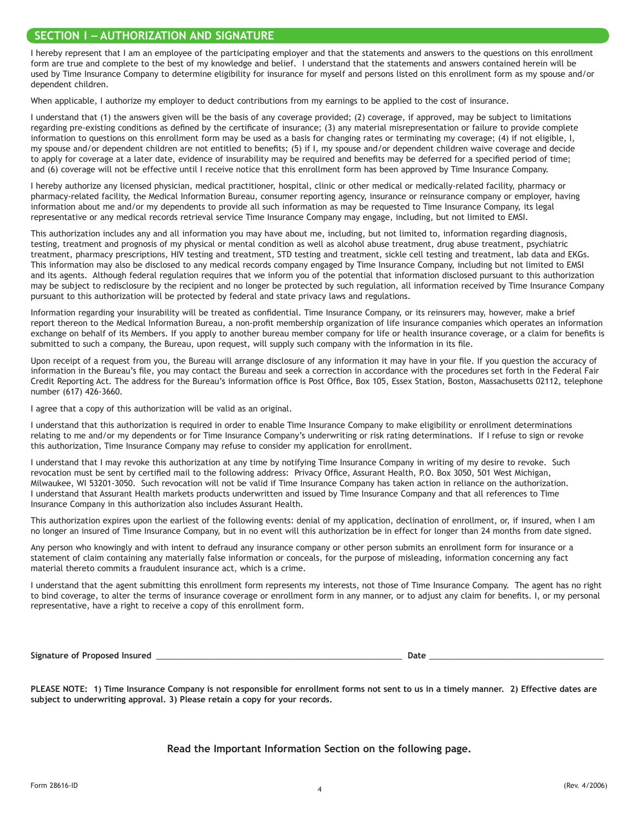### **SECTION I –– Authorization and Signature**

I hereby represent that I am an employee of the participating employer and that the statements and answers to the questions on this enrollment form are true and complete to the best of my knowledge and belief. I understand that the statements and answers contained herein will be used by Time Insurance Company to determine eligibility for insurance for myself and persons listed on this enrollment form as my spouse and/or dependent children.

When applicable, I authorize my employer to deduct contributions from my earnings to be applied to the cost of insurance.

I understand that (1) the answers given will be the basis of any coverage provided; (2) coverage, if approved, may be subject to limitations regarding pre-existing conditions as defined by the certificate of insurance; (3) any material misrepresentation or failure to provide complete information to questions on this enrollment form may be used as a basis for changing rates or terminating my coverage; (4) if not eligible, I, my spouse and/or dependent children are not entitled to benefits; (5) if I, my spouse and/or dependent children waive coverage and decide to apply for coverage at a later date, evidence of insurability may be required and benefits may be deferred for a specified period of time; and (6) coverage will not be effective until I receive notice that this enrollment form has been approved by Time Insurance Company.

I hereby authorize any licensed physician, medical practitioner, hospital, clinic or other medical or medically-related facility, pharmacy or pharmacy-related facility, the Medical Information Bureau, consumer reporting agency, insurance or reinsurance company or employer, having information about me and/or my dependents to provide all such information as may be requested to Time Insurance Company, its legal representative or any medical records retrieval service Time Insurance Company may engage, including, but not limited to EMSI.

This authorization includes any and all information you may have about me, including, but not limited to, information regarding diagnosis, testing, treatment and prognosis of my physical or mental condition as well as alcohol abuse treatment, drug abuse treatment, psychiatric treatment, pharmacy prescriptions, HIV testing and treatment, STD testing and treatment, sickle cell testing and treatment, lab data and EKGs. This information may also be disclosed to any medical records company engaged by Time Insurance Company, including but not limited to EMSI and its agents. Although federal regulation requires that we inform you of the potential that information disclosed pursuant to this authorization may be subject to redisclosure by the recipient and no longer be protected by such regulation, all information received by Time Insurance Company pursuant to this authorization will be protected by federal and state privacy laws and regulations.

Information regarding your insurability will be treated as confidential. Time Insurance Company, or its reinsurers may, however, make a brief report thereon to the Medical Information Bureau, a non-profit membership organization of life insurance companies which operates an information exchange on behalf of its Members. If you apply to another bureau member company for life or health insurance coverage, or a claim for benefits is submitted to such a company, the Bureau, upon request, will supply such company with the information in its file.

Upon receipt of a request from you, the Bureau will arrange disclosure of any information it may have in your file. If you question the accuracy of information in the Bureau's file, you may contact the Bureau and seek a correction in accordance with the procedures set forth in the Federal Fair Credit Reporting Act. The address for the Bureau's information office is Post Office, Box 105, Essex Station, Boston, Massachusetts 02112, telephone number (617) 426-3660.

I agree that a copy of this authorization will be valid as an original.

I understand that this authorization is required in order to enable Time Insurance Company to make eligibility or enrollment determinations relating to me and/or my dependents or for Time Insurance Company's underwriting or risk rating determinations. If I refuse to sign or revoke this authorization, Time Insurance Company may refuse to consider my application for enrollment.

I understand that I may revoke this authorization at any time by notifying Time Insurance Company in writing of my desire to revoke. Such revocation must be sent by certified mail to the following address: Privacy Office, Assurant Health, P.O. Box 3050, 501 West Michigan, Milwaukee, WI 53201-3050. Such revocation will not be valid if Time Insurance Company has taken action in reliance on the authorization. I understand that Assurant Health markets products underwritten and issued by Time Insurance Company and that all references to Time Insurance Company in this authorization also includes Assurant Health.

This authorization expires upon the earliest of the following events: denial of my application, declination of enrollment, or, if insured, when I am no longer an insured of Time Insurance Company, but in no event will this authorization be in effect for longer than 24 months from date signed.

Any person who knowingly and with intent to defraud any insurance company or other person submits an enrollment form for insurance or a statement of claim containing any materially false information or conceals, for the purpose of misleading, information concerning any fact material thereto commits a fraudulent insurance act, which is a crime.

I understand that the agent submitting this enrollment form represents my interests, not those of Time Insurance Company. The agent has no right to bind coverage, to alter the terms of insurance coverage or enrollment form in any manner, or to adjust any claim for benefits. I, or my personal representative, have a right to receive a copy of this enrollment form.

**Signature** of Proposed Insured

PLEASE NOTE: 1) Time Insurance Company is not responsible for enrollment forms not sent to us in a timely manner. 2) Effective dates are **subject to underwriting approval. 3) Please retain a copy for your records.**

**Read the Important Information Section on the following page.**